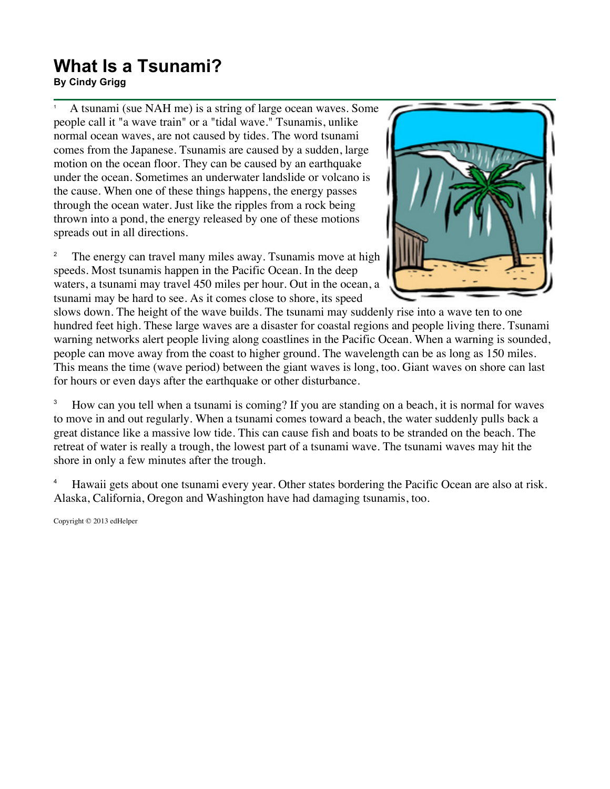## **What Is a Tsunami?**

**By Cindy Grigg**

<sup>1</sup> A tsunami (sue NAH me) is a string of large ocean waves. Some people call it "a wave train" or a "tidal wave." Tsunamis, unlike normal ocean waves, are not caused by tides. The word tsunami comes from the Japanese. Tsunamis are caused by a sudden, large motion on the ocean floor. They can be caused by an earthquake under the ocean. Sometimes an underwater landslide or volcano is the cause. When one of these things happens, the energy passes through the ocean water. Just like the ripples from a rock being thrown into a pond, the energy released by one of these motions spreads out in all directions.

<sup>2</sup> The energy can travel many miles away. Tsunamis move at high speeds. Most tsunamis happen in the Pacific Ocean. In the deep waters, a tsunami may travel 450 miles per hour. Out in the ocean, a tsunami may be hard to see. As it comes close to shore, its speed



slows down. The height of the wave builds. The tsunami may suddenly rise into a wave ten to one hundred feet high. These large waves are a disaster for coastal regions and people living there. Tsunami warning networks alert people living along coastlines in the Pacific Ocean. When a warning is sounded, people can move away from the coast to higher ground. The wavelength can be as long as 150 miles. This means the time (wave period) between the giant waves is long, too. Giant waves on shore can last for hours or even days after the earthquake or other disturbance.

<sup>3</sup> How can you tell when a tsunami is coming? If you are standing on a beach, it is normal for waves to move in and out regularly. When a tsunami comes toward a beach, the water suddenly pulls back a great distance like a massive low tide. This can cause fish and boats to be stranded on the beach. The retreat of water is really a trough, the lowest part of a tsunami wave. The tsunami waves may hit the shore in only a few minutes after the trough.

<sup>4</sup> Hawaii gets about one tsunami every year. Other states bordering the Pacific Ocean are also at risk. Alaska, California, Oregon and Washington have had damaging tsunamis, too.

Copyright © 2013 edHelper